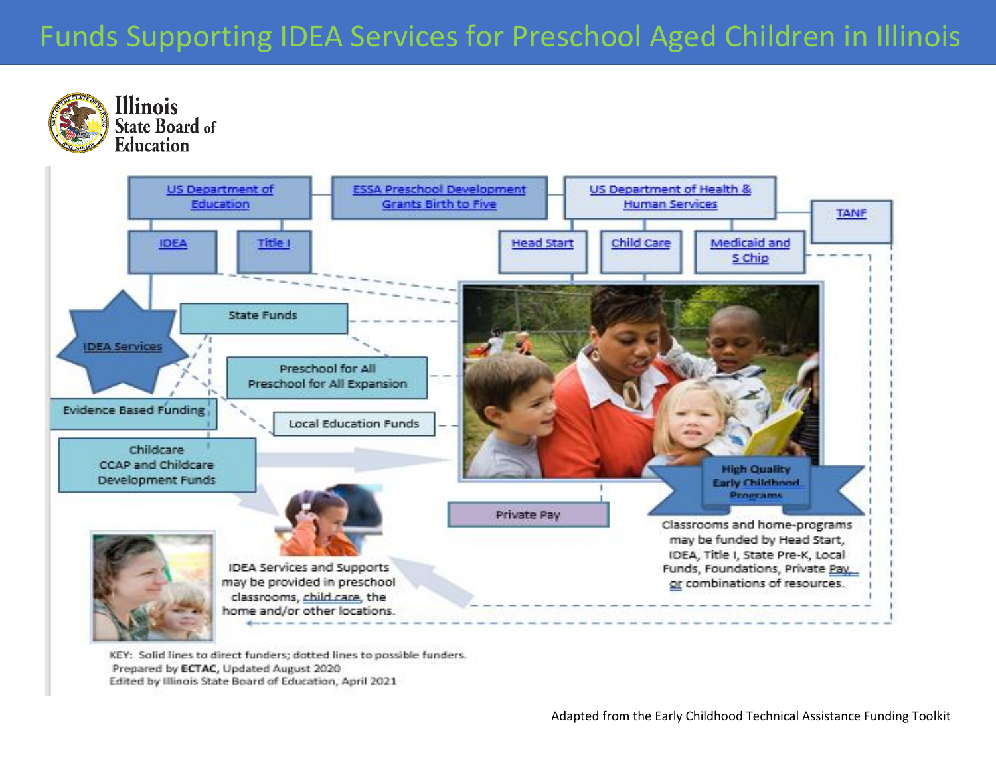## Funds Supporting IDEA Services for Preschool Aged Children in Illinois Funds Supporting IDEA Services for Preschool Aged Children in Illinois



KEY: Solid lines to direct funders; dotted lines to possible funders. Prepared by ECTAC, Updated August 2020 Edited by Illinois State Board of Education, April 2021